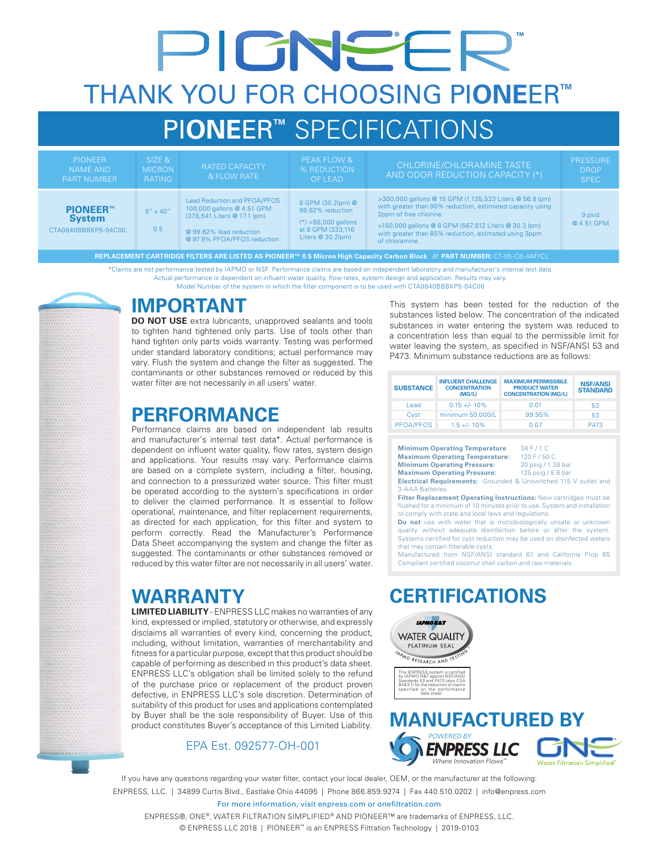# PIGNEER THANK YOU FOR CHOOSING PI**ONE**ER**™** PI**ONE**ER**™** SPECIFICATIONS

| <b>PIONEER</b><br><b>NAME AND</b><br><b>PART NUMBER</b> | SIZE &<br><b>MICRON</b><br><b>RATING</b> | <b>RATED CAPACITY</b><br>& FLOW RATE                                                                                                                | <b>PEAK FLOW &amp;</b><br>% REDUCTION<br><b>OF LEAD</b>                                                      | CHLORINE/CHLORAMINE TASTE<br>AND ODOR REDUCTION CAPACITY (*)                                                                                                                                                                                                                     | <b>PRESSURE</b><br><b>DROP</b><br><b>SPEC</b> |
|---------------------------------------------------------|------------------------------------------|-----------------------------------------------------------------------------------------------------------------------------------------------------|--------------------------------------------------------------------------------------------------------------|----------------------------------------------------------------------------------------------------------------------------------------------------------------------------------------------------------------------------------------------------------------------------------|-----------------------------------------------|
| <b>PIONEER™</b><br><b>System</b><br>CTA0840BBBKP5-04C00 | $8'' \times 40''$<br>0.5                 | Lead Reduction and PFOA/PFOS<br>100,000 gallons @ 4.51 GPM<br>(378,541 Liters @ 17.1 lpm)<br>@ 99.62% lead reduction<br>@ 97.9% PFOA/PFOS reduction | 8 GPM (30.2lpm) @<br>99.62% reduction<br>$(*) > 88,000$ gallons<br>at 8 GPM (333,116<br>Liters $@30.2$ $pm)$ | >300,000 gallons @ 15 GPM (1,135,533 Liters @ 56.8 lpm)<br>with greater than 90% reduction, estimated capacity using<br>2ppm of free chlorine.<br>>150,000 gallons @ 8 GPM (567,812 Liters @ 30.3 lpm)<br>with greater than 85% reduction, estmated using 3ppm<br>of chloramine. | 9 psid<br>@ 4.51 GPM                          |

**REPLACEMENT CARTRIDGE FILTERS ARE LISTED AS PIONEER™ 0.5 Micron High Capacity Carbon Block // PART NUMBER:** CT-05-CB-AMYCL

\*Claims are not performance tested by IAPMO or NSF. Performance claims are based on independent laboratory and manufacturer's internal test data. Actual performance is dependent on influent water quality, flow rates, system design and application. Results may vary.

Model Number of the system in which the filter component is to be used with CTA0840BBBKP5-04C00

### **IMPORTANT**

**DO NOT USE** extra lubricants, unapproved sealants and tools to tighten hand tightened only parts. Use of tools other than hand tighten only parts voids warranty. Testing was performed under standard laboratory conditions; actual performance may vary. Flush the system and change the filter as suggested. The contaminants or other substances removed or reduced by this water filter are not necessarily in all users' water.

### **PERFORMANCE**

Performance claims are based on independent lab results and manufacturer's internal test data\*. Actual performance is dependent on influent water quality, flow rates, system design and applications. Your results may vary. Performance claims are based on a complete system, including a filter, housing, and connection to a pressurized water source. This filter must be operated according to the system's specifications in order to deliver the claimed performance. It is essential to follow operational, maintenance, and filter replacement requirements, as directed for each application, for this filter and system to perform correctly. Read the Manufacturer's Performance Data Sheet accompanying the system and change the filter as suggested. The contaminants or other substances removed or reduced by this water filter are not necessarily in all users' water.

### **WARRANTY**

**LIMITED LIABILITY** - ENPRESS LLC makes no warranties of any kind, expressed or implied, statutory or otherwise, and expressly disclaims all warranties of every kind, concerning the product, including, without limitation, warranties of merchantability and fitness for a particular purpose, except that this product should be capable of performing as described in this product's data sheet. ENPRESS LLC's obligation shall be limited solely to the refund of the purchase price or replacement of the product proven defective, in ENPRESS LLC's sole discretion. Determination of suitability of this product for uses and applications contemplated by Buyer shall be the sole responsibility of Buyer. Use of this product constitutes Buyer's acceptance of this Limited Liability.

#### EPA Est. 092577-OH-001

This system has been tested for the reduction of the substances listed below. The concentration of the indicated substances in water entering the system was reduced to a concentration less than equal to the permissible limit for water leaving the system, as specified in NSF/ANSI 53 and P473. Minimum substance reductions are as follows:

| <b>SUBSTANCE</b> | <b>INFLUENT CHALLENGE</b><br><b>CONCENTRATION</b><br>(MG/L) | <b>MAXIMUM PERMISSIBLE</b><br><b>PRODUCT WATER</b><br><b>CONCENTRATION (MG/L)</b> | <b>NSF/ANSI</b><br><b>STANDARD</b> |
|------------------|-------------------------------------------------------------|-----------------------------------------------------------------------------------|------------------------------------|
| I ead            | $0.15 + (-10\%)$                                            | 0.01                                                                              | 53                                 |
| Cyst             | minimum 50,000/L                                            | 99.95%                                                                            | 53                                 |
| PFOA/PFOS        | $1.5 + (-10%)$                                              | 0.07                                                                              | P473                               |

**Minimum Operating Temperature** 34 F / 1 C<br>**Maximum Operating Temperature:** 120 F / 50 C **Maximum Operating Temperature: Minimum Operating Pressure:** 20 psig / 1.38 bar **Maximum Operating Pressure:** 125 psig / 8.6 bar

**Electrical Requirements:** Grounded & Unswitched 115 V outlet and 3-AAA Batteries

**Filter Replacement Operating Instructions:** New cartridges must be flushed for a minimum of 10 minutes prior to use. System and installation to comply with state and local laws and regulations.

**Do not** use with water that is microbiologically unsafe or unknown quality without adequate disinfection before or after the system. Systems certified for cyst reduction may be used on disinfected waters that may contain filterable cysts.

Manufactured from NSF/ANSI standard 61 and California Prop 65 Compliant certified coconut shell carbon and raw materials.

### **CERTIFICATIONS**





If you have any questions regarding your water filter, contact your local dealer, OEM, or the manufacturer at the following: ENPRESS, LLC. | 34899 Curtis Blvd., Eastlake Ohio 44095 | Phone 866.859.9274 | Fax 440.510.0202 | info@enpress.com

For more information, visit enpress.com or onefiltration.com

ENPRESS®, ONE®, WATER FILTRATION SIMPLIFIED® AND PIONEER™ are trademarks of ENPRESS, LLC. © ENPRESS LLC 2018 | PIONEER™ is an ENPRESS Filtration Technology | 2019-0103